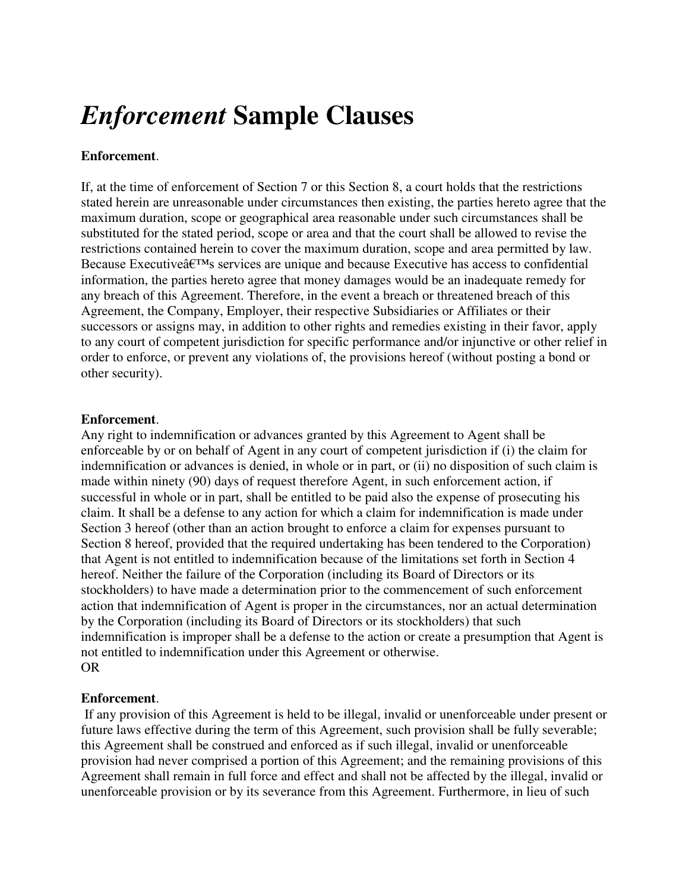# *Enforcement* **Sample Clauses**

# **Enforcement**.

If, at the time of enforcement of Section 7 or this Section 8, a court holds that the restrictions stated herein are unreasonable under circumstances then existing, the parties hereto agree that the maximum duration, scope or geographical area reasonable under such circumstances shall be substituted for the stated period, scope or area and that the court shall be allowed to revise the restrictions contained herein to cover the maximum duration, scope and area permitted by law. Because Executive $\hat{a} \in T^{M}$ s services are unique and because Executive has access to confidential information, the parties hereto agree that money damages would be an inadequate remedy for any breach of this Agreement. Therefore, in the event a breach or threatened breach of this Agreement, the Company, Employer, their respective Subsidiaries or Affiliates or their successors or assigns may, in addition to other rights and remedies existing in their favor, apply to any court of competent jurisdiction for specific performance and/or injunctive or other relief in order to enforce, or prevent any violations of, the provisions hereof (without posting a bond or other security).

### **Enforcement**.

Any right to indemnification or advances granted by this Agreement to Agent shall be enforceable by or on behalf of Agent in any court of competent jurisdiction if (i) the claim for indemnification or advances is denied, in whole or in part, or (ii) no disposition of such claim is made within ninety (90) days of request therefore Agent, in such enforcement action, if successful in whole or in part, shall be entitled to be paid also the expense of prosecuting his claim. It shall be a defense to any action for which a claim for indemnification is made under Section 3 hereof (other than an action brought to enforce a claim for expenses pursuant to Section 8 hereof, provided that the required undertaking has been tendered to the Corporation) that Agent is not entitled to indemnification because of the limitations set forth in Section 4 hereof. Neither the failure of the Corporation (including its Board of Directors or its stockholders) to have made a determination prior to the commencement of such enforcement action that indemnification of Agent is proper in the circumstances, nor an actual determination by the Corporation (including its Board of Directors or its stockholders) that such indemnification is improper shall be a defense to the action or create a presumption that Agent is not entitled to indemnification under this Agreement or otherwise. OR

### **Enforcement**.

 If any provision of this Agreement is held to be illegal, invalid or unenforceable under present or future laws effective during the term of this Agreement, such provision shall be fully severable; this Agreement shall be construed and enforced as if such illegal, invalid or unenforceable provision had never comprised a portion of this Agreement; and the remaining provisions of this Agreement shall remain in full force and effect and shall not be affected by the illegal, invalid or unenforceable provision or by its severance from this Agreement. Furthermore, in lieu of such